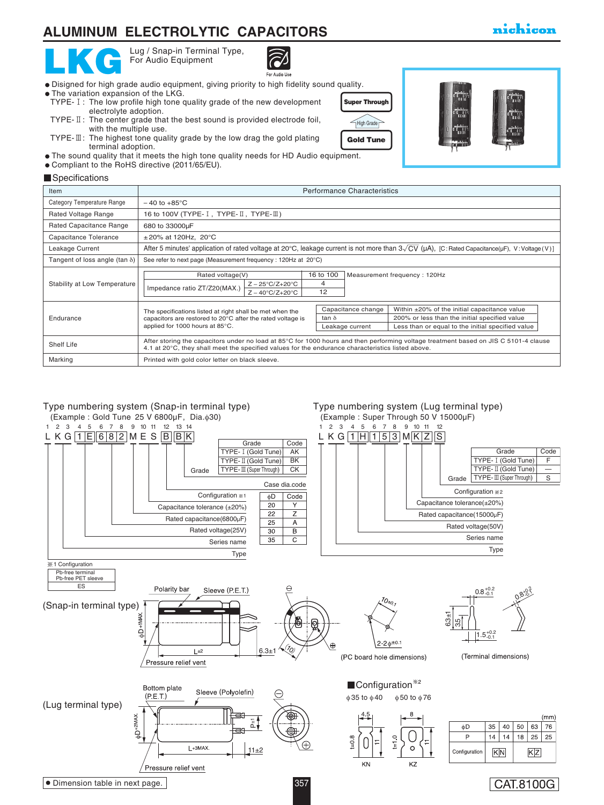# **ALUMINUM ELECTROLYTIC CAPACITORS**

Lug / Snap-in Terminal Type, For Audio Equipment



- Disigned for high grade audio equipment, giving priority to high fidelity sound quality.
- The variation expansion of the LKG. TYPE-1: The low profile high tone quality grade of the new development electrolyte adoption.
- TYPE- II: The center grade that the best sound is provided electrode foil, with the multiple use.
- TYPE- $\mathbb{I}$ : The highest tone quality grade by the low drag the gold plating terminal adoption.
- The sound quality that it meets the high tone quality needs for HD Audio equipment.
- Compliant to the RoHS directive (2011/65/EU).

#### **Specifications**

| Item                                  | <b>Performance Characteristics</b>                                                                                                                                                                                                        |  |                                       |                                                                                                                                                    |
|---------------------------------------|-------------------------------------------------------------------------------------------------------------------------------------------------------------------------------------------------------------------------------------------|--|---------------------------------------|----------------------------------------------------------------------------------------------------------------------------------------------------|
| Category Temperature Range            | $-40$ to $+85^{\circ}$ C                                                                                                                                                                                                                  |  |                                       |                                                                                                                                                    |
| <b>Rated Voltage Range</b>            | 16 to 100V (TYPE- $I$ , TYPE- $II$ , TYPE- $III$ )                                                                                                                                                                                        |  |                                       |                                                                                                                                                    |
| Rated Capacitance Range               | 680 to 33000µF                                                                                                                                                                                                                            |  |                                       |                                                                                                                                                    |
| Capacitance Tolerance                 | $\pm 20\%$ at 120Hz, 20°C                                                                                                                                                                                                                 |  |                                       |                                                                                                                                                    |
| Leakage Current                       | After 5 minutes' application of rated voltage at 20°C, leakage current is not more than $3\sqrt{CV}$ ( $\mu$ A), [C: Rated Capacitance( $\mu$ F), V: Voltage (V)]                                                                         |  |                                       |                                                                                                                                                    |
| Tangent of loss angle (tan $\delta$ ) | See refer to next page (Measurement frequency: 120Hz at 20°C)                                                                                                                                                                             |  |                                       |                                                                                                                                                    |
| Stability at Low Temperature          | 16 to 100<br>Measurement frequency: 120Hz<br>Rated voltage(V)<br>4<br>$Z - 25^{\circ}C/Z + 20^{\circ}C$<br>Impedance ratio ZT/Z20(MAX.)<br>12<br>$Z - 40^{\circ}C/Z + 20^{\circ}C$                                                        |  |                                       |                                                                                                                                                    |
| Endurance                             | The specifications listed at right shall be met when the<br>capacitors are restored to 20°C after the rated voltage is<br>applied for 1000 hours at 85°C.                                                                                 |  | Capacitance change<br>Leakage current | Within ±20% of the initial capacitance value<br>200% or less than the initial specified value<br>Less than or equal to the initial specified value |
| Shelf Life                            | After storing the capacitors under no load at 85°C for 1000 hours and then performing voltage treatment based on JIS C 5101-4 clause<br>4.1 at 20°C, they shall meet the specified values for the endurance characteristics listed above. |  |                                       |                                                                                                                                                    |
| Marking                               | Printed with gold color letter on black sleeve.                                                                                                                                                                                           |  |                                       |                                                                                                                                                    |







## nichicon

CAT.8100G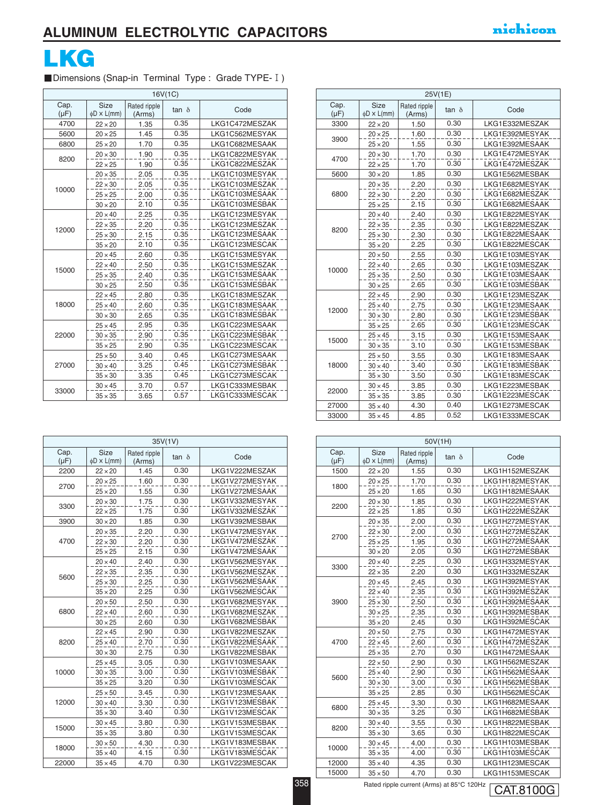

## ■Dimensions (Snap-in Terminal Type: Grade TYPE- I)

| 16V(1C)           |                          |                        |              |                |  |  |
|-------------------|--------------------------|------------------------|--------------|----------------|--|--|
| Cap.<br>$(\mu F)$ | Size<br>$\phi$ D × L(mm) | Rated ripple<br>(Arms) | $tan \delta$ | Code           |  |  |
| 4700              | $22 \times 20$           | 1.35                   | 0.35         | LKG1C472MESZAK |  |  |
| 5600              | $20 \times 25$           | 1.45                   | 0.35         | LKG1C562MESYAK |  |  |
| 6800              | $25 \times 20$           | 1.70                   | 0.35         | LKG1C682MESAAK |  |  |
| 8200              | $20 \times 30$           | 1.90                   | 0.35         | LKG1C822MESYAK |  |  |
|                   | $22 \times 25$           | 1.90                   | 0.35         | LKG1C822MESZAK |  |  |
|                   | $20 \times 35$           | 2.05                   | 0.35         | LKG1C103MESYAK |  |  |
| 10000             | $22 \times 30$           | 2.05                   | 0.35         | LKG1C103MESZAK |  |  |
|                   | $25 \times 25$           | 2.00                   | 0.35         | LKG1C103MESAAK |  |  |
|                   | $30 \times 20$           | 2.10                   | 0.35         | LKG1C103MESBAK |  |  |
|                   | $20 \times 40$           | 2.25                   | 0.35         | LKG1C123MESYAK |  |  |
| 12000             | $22 \times 35$           | 2.20                   | 0.35         | LKG1C123MESZAK |  |  |
|                   | $25 \times 30$           | 2.15                   | 0.35         | LKG1C123MESAAK |  |  |
|                   | $35 \times 20$           | 2.10                   | 0.35         | LKG1C123MESCAK |  |  |
|                   | $20 \times 45$           | 2.60                   | 0.35         | LKG1C153MESYAK |  |  |
| 15000             | $22 \times 40$           | 2.50                   | 0.35         | LKG1C153MESZAK |  |  |
|                   | $25 \times 35$           | 2.40                   | 0.35         | LKG1C153MESAAK |  |  |
|                   | $30 \times 25$           | 2.50                   | 0.35         | LKG1C153MESBAK |  |  |
|                   | $22 \times 45$           | 2.80                   | 0.35         | LKG1C183MESZAK |  |  |
| 18000             | $25 \times 40$           | 2.60                   | 0.35         | LKG1C183MESAAK |  |  |
|                   | $30 \times 30$           | 2.65                   | 0.35         | LKG1C183MESBAK |  |  |
|                   | $25 \times 45$           | 2.95                   | 0.35         | LKG1C223MESAAK |  |  |
| 22000             | $30 \times 35$           | 2.90                   | 0.35         | LKG1C223MESBAK |  |  |
|                   | $35 \times 25$           | 2.90                   | 0.35         | LKG1C223MESCAK |  |  |
|                   | $25 \times 50$           | 3.40                   | 0.45         | LKG1C273MESAAK |  |  |
| 27000             | $30 \times 40$           | 3.25                   | 0.45         | LKG1C273MESBAK |  |  |
|                   | $35 \times 30$           | 3.35                   | 0.45         | LKG1C273MESCAK |  |  |
| 33000             | $30 \times 45$           | 3.70                   | 0.57         | LKG1C333MESBAK |  |  |
|                   | $35 \times 35$           | 3.65                   | 0.57         | LKG1C333MESCAK |  |  |

|                   |                                 |                        | 35V(1V)      |                |
|-------------------|---------------------------------|------------------------|--------------|----------------|
| Cap.<br>$(\mu F)$ | <b>Size</b><br>$\phi$ D × L(mm) | Rated ripple<br>(Arms) | $tan \delta$ | Code           |
| 2200              | $22 \times 20$                  | 1.45                   | 0.30         | LKG1V222MESZAK |
| 2700              | $20 \times 25$                  | 1.60                   | 0.30         | LKG1V272MESYAK |
|                   | $25 \times 20$                  | 1.55                   | 0.30         | LKG1V272MESAAK |
| 3300              | $20 \times 30$                  | 1.75                   | 0.30         | LKG1V332MESYAK |
|                   | $22 \times 25$                  | 1.75                   | 0.30         | LKG1V332MESZAK |
| 3900              | $30 \times 20$                  | 1.85                   | 0.30         | LKG1V392MESBAK |
|                   | $20 \times 35$                  | 2.20                   | 0.30         | LKG1V472MESYAK |
| 4700              | $22 \times 30$                  | 2.20                   | 0.30         | LKG1V472MESZAK |
|                   | $25 \times 25$                  | 2.15                   | 0.30         | LKG1V472MESAAK |
|                   | $20 \times 40$                  | 2.40                   | 0.30         | LKG1V562MESYAK |
| 5600              | $22 \times 35$                  | 2.35                   | 0.30         | LKG1V562MESZAK |
|                   | $25 \times 30$                  | 2.25                   | 0.30         | LKG1V562MESAAK |
|                   | $35 \times 20$                  | 2.25                   | 0.30         | LKG1V562MESCAK |
|                   | $20 \times 50$                  | 2.50                   | 0.30         | LKG1V682MESYAK |
| 6800              | $22 \times 40$                  | 2.60                   | 0.30         | LKG1V682MESZAK |
|                   | $30 \times 25$                  | 2.60                   | 0.30         | LKG1V682MESBAK |
|                   | $22 \times 45$                  | 2.90                   | 0.30         | LKG1V822MESZAK |
| 8200              | $25 \times 40$                  | 2.70                   | 0.30         | LKG1V822MESAAK |
|                   | $30 \times 30$                  | 2.75                   | 0.30         | LKG1V822MESBAK |
|                   | $25 \times 45$                  | 3.05                   | 0.30         | LKG1V103MESAAK |
| 10000             | $30 \times 35$                  | 3.00                   | 0.30         | LKG1V103MESBAK |
|                   | $35 \times 25$                  | 3.20                   | 0.30         | LKG1V103MESCAK |
|                   | $25 \times 50$                  | 3.45                   | 0.30         | LKG1V123MESAAK |
| 12000             | $30 \times 40$                  | 3.30                   | 0.30         | LKG1V123MESBAK |
|                   | $35 \times 30$                  | 3.40                   | 0.30         | LKG1V123MESCAK |
|                   | $30 \times 45$                  | 3.80                   | 0.30         | LKG1V153MESBAK |
| 15000             | $35 \times 35$                  | 3.80                   | 0.30         | LKG1V153MESCAK |
|                   | $30 \times 50$                  | 4.30                   | 0.30         | LKG1V183MESBAK |
| 18000             | $35 \times 40$                  | 4.15                   | 0.30         | LKG1V183MESCAK |
| 22000             | $35 \times 45$                  | 4.70                   | 0.30         | LKG1V223MESCAK |

| 25V(1E)           |                                 |                        |              |                |  |  |
|-------------------|---------------------------------|------------------------|--------------|----------------|--|--|
| Cap.<br>$(\mu F)$ | <b>Size</b><br>$\phi$ D × L(mm) | Rated ripple<br>(Arms) | $tan \delta$ | Code           |  |  |
| 3300              | $22 \times 20$                  | 1.50                   | 0.30         | LKG1E332MESZAK |  |  |
| 3900              | $20 \times 25$                  | 1.60                   | 0.30         | LKG1E392MESYAK |  |  |
|                   | $25 \times 20$                  | 1.55                   | 0.30         | LKG1E392MESAAK |  |  |
| 4700              | $20 \times 30$                  | 1.70                   | 0.30         | LKG1E472MESYAK |  |  |
|                   | $22 \times 25$                  | 1.70                   | 0.30         | LKG1E472MESZAK |  |  |
| 5600              | $30 \times 20$                  | 1.85                   | 0.30         | LKG1E562MESBAK |  |  |
|                   | $20 \times 35$                  | 2.20                   | 0.30         | LKG1E682MESYAK |  |  |
| 6800              | $22 \times 30$                  | 2.20                   | 0.30         | LKG1E682MESZAK |  |  |
|                   | $25 \times 25$                  | 2.15                   | 0.30         | LKG1E682MESAAK |  |  |
|                   | $20 \times 40$                  | 2.40                   | 0.30         | LKG1E822MESYAK |  |  |
| 8200              | $22 \times 35$                  | 2.35                   | 0.30         | LKG1E822MESZAK |  |  |
|                   | $25 \times 30$                  | 2.30                   | 0.30         | LKG1E822MESAAK |  |  |
|                   | $35 \times 20$                  | 2.25                   | 0.30         | LKG1E822MESCAK |  |  |
|                   | $20 \times 50$                  | 2.55                   | 0.30         | LKG1E103MESYAK |  |  |
| 10000             | $22 \times 40$                  | 2.65                   | 0.30         | LKG1E103MESZAK |  |  |
|                   | $25 \times 35$                  | 2.50                   | 0.30         | LKG1E103MESAAK |  |  |
|                   | $30 \times 25$                  | 2.65                   | 0.30         | LKG1E103MESBAK |  |  |
|                   | $22 \times 45$                  | 2.90                   | 0.30         | LKG1E123MESZAK |  |  |
| 12000             | $25 \times 40$                  | 2.75                   | 0.30         | LKG1E123MESAAK |  |  |
|                   | $30 \times 30$                  | 2.80                   | 0.30         | LKG1E123MESBAK |  |  |
|                   | $35 \times 25$                  | 2.65                   | 0.30         | LKG1E123MESCAK |  |  |
| 15000             | $25 \times 45$                  | 3.15                   | 0.30         | LKG1E153MESAAK |  |  |
|                   | $30 \times 35$                  | 3.10                   | 0.30         | LKG1E153MESBAK |  |  |
|                   | $25 \times 50$                  | 3.55                   | 0.30         | LKG1E183MESAAK |  |  |
| 18000             | $30 \times 40$                  | 3.40                   | 0.30         | LKG1E183MESBAK |  |  |
|                   | $35 \times 30$                  | 3.50                   | 0.30         | LKG1E183MESCAK |  |  |
|                   | $30 \times 45$                  | 3.85                   | 0.30         | LKG1E223MESBAK |  |  |
| 22000             | $35 \times 35$                  | 3.85                   | 0.30         | LKG1E223MESCAK |  |  |
| 27000             | $35 \times 40$                  | 4.30                   | 0.40         | LKG1E273MESCAK |  |  |
| 33000             | $35 \times 45$                  | 4.85                   | 0.52         | LKG1E333MESCAK |  |  |

|                   | 50V(1H)                         |                        |              |                |  |  |  |
|-------------------|---------------------------------|------------------------|--------------|----------------|--|--|--|
| Cap.<br>$(\mu F)$ | <b>Size</b><br>$\phi$ D × L(mm) | Rated ripple<br>(Arms) | $tan \delta$ | Code           |  |  |  |
| 1500              | $22 \times 20$                  | 1.55                   | 0.30         | LKG1H152MESZAK |  |  |  |
| 1800              | $20 \times 25$                  | 1.70                   | 0.30         | LKG1H182MESYAK |  |  |  |
|                   | $25 \times 20$                  | 1.65                   | 0.30         | LKG1H182MESAAK |  |  |  |
| 2200              | $20 \times 30$                  | 1.85                   | 0.30         | LKG1H222MESYAK |  |  |  |
|                   | $22 \times 25$                  | 1.85                   | 0.30         | LKG1H222MESZAK |  |  |  |
|                   | $20 \times 35$                  | 2.00                   | 0.30         | LKG1H272MESYAK |  |  |  |
|                   | $22 \times 30$                  | 2.00                   | 0.30         | LKG1H272MESZAK |  |  |  |
| 2700              | $25 \times 25$                  | 1.95                   | 0.30         | LKG1H272MESAAK |  |  |  |
|                   | $30 \times 20$                  | 2.05                   | 0.30         | LKG1H272MESBAK |  |  |  |
|                   | $20 \times 40$                  | 2.25                   | 0.30         | LKG1H332MESYAK |  |  |  |
| 3300              | $22 \times 35$                  | 2.20                   | 0.30         | LKG1H332MESZAK |  |  |  |
|                   | $20 \times 45$                  | 2.45                   | 0.30         | LKG1H392MESYAK |  |  |  |
|                   | $22 \times 40$                  | 2.35                   | 0.30         | LKG1H392MESZAK |  |  |  |
| 3900              | $25 \times 30$                  | 2.50                   | 0.30         | LKG1H392MESAAK |  |  |  |
|                   | $30 \times 25$                  | 2.35                   | 0.30         | LKG1H392MESBAK |  |  |  |
|                   | $35 \times 20$                  | 2.45                   | 0.30         | LKG1H392MESCAK |  |  |  |
|                   | $20 \times 50$                  | 2.75                   | 0.30         | LKG1H472MESYAK |  |  |  |
| 4700              | $22 \times 45$                  | 2.60                   | 0.30         | LKG1H472MESZAK |  |  |  |
|                   | $25 \times 35$                  | 2.70                   | 0.30         | LKG1H472MESAAK |  |  |  |
|                   | $22 \times 50$                  | 2.90                   | 0.30         | LKG1H562MESZAK |  |  |  |
|                   | $25 \times 40$                  | 2.90                   | 0.30         | LKG1H562MESAAK |  |  |  |
| 5600              | $30 \times 30$                  | 3.00                   | 0.30         | LKG1H562MESBAK |  |  |  |
|                   | $35 \times 25$                  | 2.85                   | 0.30         | LKG1H562MESCAK |  |  |  |
|                   | $25 \times 45$                  | 3.30                   | 0.30         | LKG1H682MESAAK |  |  |  |
| 6800              | $30 \times 35$                  | 3.25                   | 0.30         | LKG1H682MESBAK |  |  |  |
|                   | $30 \times 40$                  | 3.55                   | 0.30         | LKG1H822MESBAK |  |  |  |
| 8200              | $35 \times 30$                  | 3.65                   | 0.30         | LKG1H822MESCAK |  |  |  |
|                   | $30 \times 45$                  | 4.00                   | 0.30         | LKG1H103MESBAK |  |  |  |
| 10000             | $35 \times 35$                  | 4.00                   | 0.30         | LKG1H103MESCAK |  |  |  |
| 12000             | $35 \times 40$                  | 4.35                   | 0.30         | LKG1H123MESCAK |  |  |  |
| 15000             | $35 \times 50$                  | 4.70                   | 0.30         | LKG1H153MESCAK |  |  |  |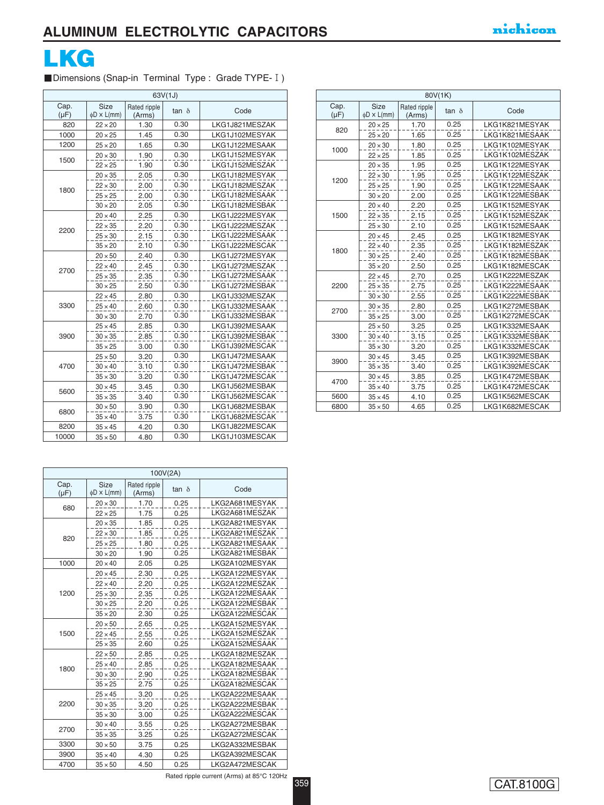

Dimensions (Snap-in Terminal Type : Grade TYPE- I)

| 63V(1J)           |                          |                        |              |                |  |  |
|-------------------|--------------------------|------------------------|--------------|----------------|--|--|
| Cap.<br>$(\mu F)$ | Size<br>$\phi$ D × L(mm) | Rated ripple<br>(Arms) | $tan \delta$ | Code           |  |  |
| 820               | $22 \times 20$           | 1.30                   | 0.30         | LKG1J821MESZAK |  |  |
| 1000              | $20 \times 25$           | 1.45                   | 0.30         | LKG1J102MESYAK |  |  |
| 1200              | $25 \times 20$           | 1.65                   | 0.30         | LKG1J122MESAAK |  |  |
|                   | $20 \times 30$           | 1.90                   | 0.30         | LKG1J152MESYAK |  |  |
| 1500              | $22 \times 25$           | 1.90                   | 0.30         | LKG1J152MESZAK |  |  |
|                   | $20 \times 35$           | 2.05                   | 0.30         | LKG1J182MESYAK |  |  |
| 1800              | $22 \times 30$           | 2.00                   | 0.30         | LKG1J182MESZAK |  |  |
|                   | $25 \times 25$           | 2.00                   | 0.30         | LKG1J182MESAAK |  |  |
|                   | $30 \times 20$           | 2.05                   | 0.30         | LKG1J182MESBAK |  |  |
|                   | $20 \times 40$           | 2.25                   | 0.30         | LKG1J222MESYAK |  |  |
| 2200              | $22 \times 35$           | 2.20                   | 0.30         | LKG1J222MESZAK |  |  |
|                   | $25 \times 30$           | 2.15                   | 0.30         | LKG1J222MESAAK |  |  |
|                   | $35 \times 20$           | 2.10                   | 0.30         | LKG1J222MESCAK |  |  |
|                   | $20 \times 50$           | 2.40                   | 0.30         | LKG1J272MESYAK |  |  |
| 2700              | $22 \times 40$           | 2.45                   | 0.30         | LKG1J272MESZAK |  |  |
|                   | $25 \times 35$           | 2.35                   | 0.30         | LKG1J272MESAAK |  |  |
|                   | $30 \times 25$           | 2.50                   | 0.30         | LKG1J272MESBAK |  |  |
|                   | $22 \times 45$           | 2.80                   | 0.30         | LKG1J332MESZAK |  |  |
| 3300              | $25 \times 40$           | 2.60                   | 0.30         | LKG1J332MESAAK |  |  |
|                   | $30 \times 30$           | 2.70                   | 0.30         | LKG1J332MESBAK |  |  |
|                   | $25 \times 45$           | 2.85                   | 0.30         | LKG1J392MESAAK |  |  |
| 3900              | $30 \times 35$           | 2.85                   | 0.30         | LKG1J392MESBAK |  |  |
|                   | $35 \times 25$           | 3.00                   | 0.30         | LKG1J392MESCAK |  |  |
|                   | $25 \times 50$           | 3.20                   | 0.30         | LKG1J472MESAAK |  |  |
| 4700              | $30 \times 40$           | 3.10                   | 0.30         | LKG1J472MESBAK |  |  |
|                   | $35 \times 30$           | 3.20                   | 0.30         | LKG1J472MESCAK |  |  |
| 5600              | $30 \times 45$           | 3.45                   | 0.30         | LKG1J562MESBAK |  |  |
|                   | $35 \times 35$           | 3.40                   | 0.30         | LKG1J562MESCAK |  |  |
| 6800              | $30 \times 50$           | 3.90                   | 0.30         | LKG1J682MESBAK |  |  |
|                   | $35 \times 40$           | 3.75                   | 0.30         | LKG1J682MESCAK |  |  |
| 8200              | $35 \times 45$           | 4.20                   | 0.30         | LKG1J822MESCAK |  |  |
| 10000             | $35 \times 50$           | 4.80                   | 0.30         | LKG1J103MESCAK |  |  |

|                   | 100V(2A)                 |                        |              |                |  |  |  |
|-------------------|--------------------------|------------------------|--------------|----------------|--|--|--|
| Cap.<br>$(\mu F)$ | Size<br>$\phi$ D × L(mm) | Rated ripple<br>(Arms) | $tan \delta$ | Code           |  |  |  |
| 680               | $20 \times 30$           | 1.70                   | 0.25         | LKG2A681MESYAK |  |  |  |
|                   | $22 \times 25$           | 1.75                   | 0.25         | LKG2A681MESZAK |  |  |  |
|                   | $20 \times 35$           | 1.85                   | 0.25         | LKG2A821MESYAK |  |  |  |
| 820               | $22 \times 30$           | 1.85                   | 0.25         | LKG2A821MESZAK |  |  |  |
|                   | $25 \times 25$           | 1.80                   | 0.25         | LKG2A821MESAAK |  |  |  |
|                   | $30 \times 20$           | 1.90                   | 0.25         | LKG2A821MESBAK |  |  |  |
| 1000              | $20 \times 40$           | 2.05                   | 0.25         | LKG2A102MESYAK |  |  |  |
|                   | $20 \times 45$           | 2.30                   | 0.25         | LKG2A122MESYAK |  |  |  |
|                   | $22 \times 40$           | 2.20                   | 0.25         | LKG2A122MESZAK |  |  |  |
| 1200              | $25 \times 30$           | 2.35                   | 0.25         | LKG2A122MESAAK |  |  |  |
|                   | $30 \times 25$           | 2.20                   | 0.25         | LKG2A122MESBAK |  |  |  |
|                   | $35 \times 20$           | 2.30                   | 0.25         | LKG2A122MESCAK |  |  |  |
|                   | $20 \times 50$           | 2.65                   | 0.25         | LKG2A152MESYAK |  |  |  |
| 1500              | $22 \times 45$           | 2.55                   | 0.25         | LKG2A152MESZAK |  |  |  |
|                   | $25 \times 35$           | 2.60                   | 0.25         | LKG2A152MESAAK |  |  |  |
|                   | $22 \times 50$           | 2.85                   | 0.25         | LKG2A182MESZAK |  |  |  |
|                   | $25 \times 40$           | 2.85                   | 0.25         | LKG2A182MESAAK |  |  |  |
| 1800              | $30 \times 30$           | 2.90                   | 0.25         | LKG2A182MESBAK |  |  |  |
|                   | $35 \times 25$           | 2.75                   | 0.25         | LKG2A182MESCAK |  |  |  |
|                   | $25 \times 45$           | 3.20                   | 0.25         | LKG2A222MESAAK |  |  |  |
| 2200              | $30 \times 35$           | 3.20                   | 0.25         | LKG2A222MESBAK |  |  |  |
|                   | $35 \times 30$           | 3.00                   | 0.25         | LKG2A222MESCAK |  |  |  |
| 2700              | $30 \times 40$           | 3.55                   | 0.25         | LKG2A272MESBAK |  |  |  |
|                   | $35 \times 35$           | 3.25                   | 0.25         | LKG2A272MESCAK |  |  |  |
| 3300              | $30 \times 50$           | 3.75                   | 0.25         | LKG2A332MESBAK |  |  |  |
| 3900              | $35 \times 40$           | 4.30                   | 0.25         | LKG2A392MESCAK |  |  |  |
| 4700              | $35 \times 50$           | 4.50                   | 0.25         | LKG2A472MESCAK |  |  |  |

| 80V(1K)           |                                 |                        |              |                |  |  |
|-------------------|---------------------------------|------------------------|--------------|----------------|--|--|
| Cap.<br>$(\mu F)$ | <b>Size</b><br>$\phi$ D × L(mm) | Rated ripple<br>(Arms) | $tan \delta$ | Code           |  |  |
|                   | $20 \times 25$                  | 1.70                   | 0.25         | LKG1K821MESYAK |  |  |
| 820               | $25 \times 20$                  | 1.65                   | 0.25         | LKG1K821MESAAK |  |  |
|                   | $20 \times 30$                  | 1.80                   | 0.25         | LKG1K102MESYAK |  |  |
| 1000              | $22 \times 25$                  | 1.85                   | 0.25         | LKG1K102MESZAK |  |  |
|                   | $20 \times 35$                  | 1.95                   | 0.25         | LKG1K122MESYAK |  |  |
|                   | $22 \times 30$                  | 1.95                   | 0.25         | LKG1K122MESZAK |  |  |
| 1200              | $25 \times 25$                  | 1.90                   | 0.25         | LKG1K122MESAAK |  |  |
|                   | $30 \times 20$                  | 2.00                   | 0.25         | LKG1K122MESBAK |  |  |
|                   | $20 \times 40$                  | 2.20                   | 0.25         | LKG1K152MESYAK |  |  |
| 1500              | $22 \times 35$                  | 2.15                   | 0.25         | LKG1K152MESZAK |  |  |
|                   | $25 \times 30$                  | 2.10                   | 0.25         | LKG1K152MESAAK |  |  |
|                   | $20 \times 45$                  | 2.45                   | 0.25         | LKG1K182MESYAK |  |  |
|                   | $22 \times 40$                  | 2.35                   | 0.25         | LKG1K182MESZAK |  |  |
| 1800              | $30 \times 25$                  | 2.40                   | 0.25         | LKG1K182MESBAK |  |  |
|                   | $35 \times 20$                  | 2.50                   | 0.25         | LKG1K182MESCAK |  |  |
|                   | $22 \times 45$                  | 2.70                   | 0.25         | LKG1K222MESZAK |  |  |
| 2200              | $25 \times 35$                  | 2.75                   | 0.25         | LKG1K222MESAAK |  |  |
|                   | $30 \times 30$                  | 2.55                   | 0.25         | LKG1K222MESBAK |  |  |
|                   | $30 \times 35$                  | 2.80                   | 0.25         | LKG1K272MESBAK |  |  |
| 2700              | $35 \times 25$                  | 3.00                   | 0.25         | LKG1K272MESCAK |  |  |
|                   | $25 \times 50$                  | 3.25                   | 0.25         | LKG1K332MESAAK |  |  |
| 3300              | $30 \times 40$                  | 3.15                   | 0.25         | LKG1K332MESBAK |  |  |
|                   | $35 \times 30$                  | 3.20                   | 0.25         | LKG1K332MESCAK |  |  |
| 3900              | $30 \times 45$                  | 3.45                   | 0.25         | LKG1K392MESBAK |  |  |
|                   | $35 \times 35$                  | 3.40                   | 0.25         | LKG1K392MESCAK |  |  |
| 4700              | $30 \times 45$                  | 3.85                   | 0.25         | LKG1K472MESBAK |  |  |
|                   | $35 \times 40$                  | 3.75                   | 0.25         | LKG1K472MESCAK |  |  |
| 5600              | $35 \times 45$                  | 4.10                   | 0.25         | LKG1K562MESCAK |  |  |
| 6800              | $35 \times 50$                  | 4.65                   | 0.25         | LKG1K682MESCAK |  |  |

Rated ripple current (Arms) at 85°C 120Hz

359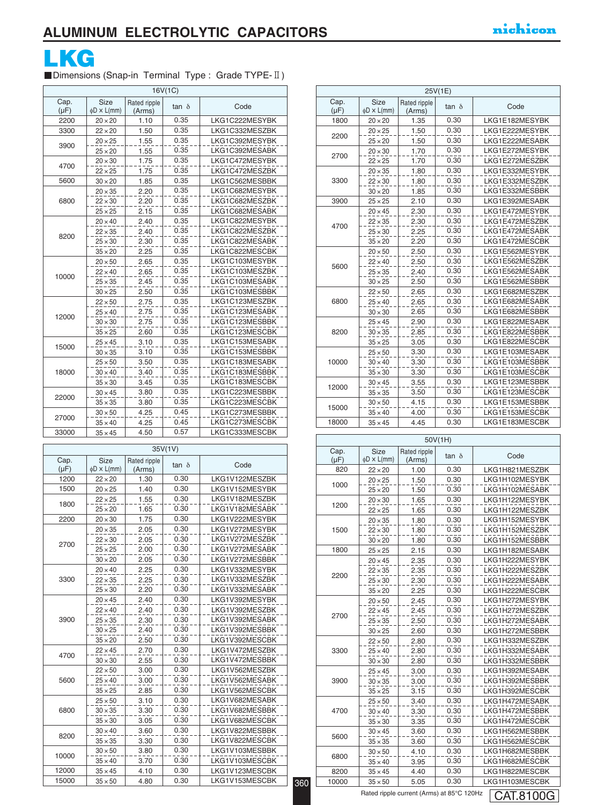

■Dimensions (Snap-in Terminal Type : Grade TYPE-II)

| 16V(1C)           |                                 |                        |              |                |  |
|-------------------|---------------------------------|------------------------|--------------|----------------|--|
| Cap.<br>$(\mu F)$ | <b>Size</b><br>$\phi$ D × L(mm) | Rated ripple<br>(Arms) | $tan \delta$ | Code           |  |
| 2200              | $20 \times 20$                  | 1.10                   | 0.35         | LKG1C222MESYBK |  |
| 3300              | $22 \times 20$                  | 1.50                   | 0.35         | LKG1C332MESZBK |  |
| 3900              | $20 \times 25$                  | 1.55                   | 0.35         | LKG1C392MESYBK |  |
|                   | $25 \times 20$                  | 1.55                   | 0.35         | LKG1C392MESABK |  |
| 4700              | $20 \times 30$                  | 1.75                   | 0.35         | LKG1C472MESYBK |  |
|                   | $22 \times 25$                  | 1.75                   | 0.35         | LKG1C472MESZBK |  |
| 5600              | $30 \times 20$                  | 1.85                   | 0.35         | LKG1C562MESBBK |  |
|                   | $20 \times 35$                  | 2.20                   | 0.35         | LKG1C682MESYBK |  |
| 6800              | $22 \times 30$                  | 2.20                   | 0.35         | LKG1C682MESZBK |  |
|                   | $25 \times 25$                  | 2.15                   | 0.35         | LKG1C682MESABK |  |
|                   | $20 \times 40$                  | 2.40                   | 0.35         | LKG1C822MESYBK |  |
| 8200              | $22 \times 35$                  | 2.40                   | 0.35         | LKG1C822MESZBK |  |
|                   | $25 \times 30$                  | 2.30                   | 0.35         | LKG1C822MESABK |  |
|                   | $35 \times 20$                  | 2.25                   | 0.35         | LKG1C822MESCBK |  |
|                   | $20 \times 50$                  | 2.65                   | 0.35         | LKG1C103MESYBK |  |
| 10000             | $22 \times 40$                  | 2.65                   | 0.35         | LKG1C103MESZBK |  |
|                   | $25 \times 35$                  | 2.45                   | 0.35         | LKG1C103MESABK |  |
|                   | $30 \times 25$                  | 2.50                   | 0.35         | LKG1C103MESBBK |  |
|                   | $22 \times 50$                  | 2.75                   | 0.35         | LKG1C123MESZBK |  |
|                   | $25 \times 40$                  | 2.75                   | 0.35         | LKG1C123MESABK |  |
| 12000             | $30 \times 30$                  | 2.75                   | 0.35         | LKG1C123MESBBK |  |
|                   | $35 \times 25$                  | 2.60                   | 0.35         | LKG1C123MESCBK |  |
|                   | $25 \times 45$                  | 3.10                   | 0.35         | LKG1C153MESABK |  |
| 15000             | $30 \times 35$                  | 3.10                   | 0.35         | LKG1C153MESBBK |  |
|                   | $25 \times 50$                  | 3.50                   | 0.35         | LKG1C183MESABK |  |
| 18000             | $30 \times 40$                  | 3.40                   | 0.35         | LKG1C183MESBBK |  |
|                   | $35 \times 30$                  | 3.45                   | 0.35         | LKG1C183MESCBK |  |
| 22000             | $30 \times 45$                  | 3.80                   | 0.35         | LKG1C223MESBBK |  |
|                   | $35 \times 35$                  | 3.80                   | 0.35         | LKG1C223MESCBK |  |
|                   | $30 \times 50$                  | 4.25                   | 0.45         | LKG1C273MESBBK |  |
| 27000             | $35 \times 40$                  | 4.25                   | 0.45         | LKG1C273MESCBK |  |
| 33000             | $35 \times 45$                  | 4.50                   | 0.57         | LKG1C333MESCBK |  |

| 35V(1V)           |                                 |                        |              |                |     | Cap.             |  |
|-------------------|---------------------------------|------------------------|--------------|----------------|-----|------------------|--|
| Cap.<br>$(\mu F)$ | <b>Size</b><br>$\phi$ D × L(mm) | Rated ripple<br>(Arms) | $tan \delta$ | Code           |     | $(\mu F)$<br>820 |  |
| 1200              | $22 \times 20$                  | 1.30                   | 0.30         | LKG1V122MESZBK |     |                  |  |
| 1500              | $20 \times 25$                  | 1.40                   | 0.30         | LKG1V152MESYBK |     | 1000             |  |
|                   | $22 \times 25$                  | 1.55                   | 0.30         | LKG1V182MESZBK |     |                  |  |
| 1800              | $25 \times 20$                  | 1.65                   | 0.30         | LKG1V182MESABK |     | 1200             |  |
| 2200              | $20 \times 30$                  | 1.75                   | 0.30         | LKG1V222MESYBK |     |                  |  |
|                   | $20 \times 35$                  | 2.05                   | 0.30         | LKG1V272MESYBK |     | 1500             |  |
|                   | $22 \times 30$                  | 2.05                   | 0.30         | LKG1V272MESZBK |     |                  |  |
| 2700              | $25 \times 25$                  | 2.00                   | 0.30         | LKG1V272MESABK |     | 1800             |  |
|                   | $30 \times 20$                  | 2.05                   | 0.30         | LKG1V272MESBBK |     |                  |  |
|                   | $20 \times 40$                  | 2.25                   | 0.30         | LKG1V332MESYBK |     |                  |  |
| 3300              | $22 \times 35$                  | 2.25                   | 0.30         | LKG1V332MESZBK |     | 2200             |  |
|                   | $25 \times 30$                  | 2.20                   | 0.30         | LKG1V332MESABK |     |                  |  |
|                   | $20 \times 45$                  | 2.40                   | 0.30         | LKG1V392MESYBK |     |                  |  |
|                   | $22 \times 40$                  | 2.40                   | 0.30         | LKG1V392MESZBK |     |                  |  |
| 3900              | $25 \times 35$                  | 2.30                   | 0.30         | LKG1V392MESABK |     | 2700             |  |
|                   | $30 \times 25$                  | 2.40                   | 0.30         | LKG1V392MESBBK |     |                  |  |
|                   | $35 \times 20$                  | 2.50                   | 0.30         | LKG1V392MESCBK |     |                  |  |
| 4700              | $22 \times 45$                  | 2.70                   | 0.30         | LKG1V472MESZBK |     | 3300             |  |
|                   | $30 \times 30$                  | 2.55                   | 0.30         | LKG1V472MESBBK |     |                  |  |
|                   | $22 \times 50$                  | 3.00                   | 0.30         | LKG1V562MESZBK |     |                  |  |
| 5600              | $25 \times 40$                  | 3.00                   | 0.30         | LKG1V562MESABK |     | 3900             |  |
|                   | $35 \times 25$                  | 2.85                   | 0.30         | LKG1V562MESCBK |     |                  |  |
|                   | $25 \times 50$                  | 3.10                   | 0.30         | LKG1V682MESABK |     |                  |  |
| 6800              | $30 \times 35$                  | 3.30                   | 0.30         | LKG1V682MESBBK |     | 4700             |  |
|                   | $35 \times 30$                  | 3.05                   | 0.30         | LKG1V682MESCBK |     |                  |  |
| 8200              | $30 \times 40$                  | 3.60                   | 0.30         | LKG1V822MESBBK |     | 5600             |  |
|                   | $35 \times 35$                  | 3.30                   | 0.30         | LKG1V822MESCBK |     |                  |  |
| 10000             | $30 \times 50$                  | 3.80                   | 0.30         | LKG1V103MESBBK |     |                  |  |
|                   | $35 \times 40$                  | 3.70                   | 0.30         | LKG1V103MESCBK |     | 6800             |  |
| 12000             | $35 \times 45$                  | 4.10                   | 0.30         | LKG1V123MESCBK |     | 8200             |  |
| 15000             | $35 \times 50$                  | 4.80                   | 0.30         | LKG1V153MESCBK | 360 | 10000            |  |

|                   | 25V(1E)                         |                        |              |                |  |  |  |
|-------------------|---------------------------------|------------------------|--------------|----------------|--|--|--|
| Cap.<br>$(\mu F)$ | <b>Size</b><br>$\phi$ D × L(mm) | Rated ripple<br>(Arms) | tan $\delta$ | Code           |  |  |  |
| 1800              | $20 \times 20$                  | 1.35                   | 0.30         | LKG1E182MESYBK |  |  |  |
| 2200              | $20 \times 25$                  | 1.50                   | 0.30         | LKG1E222MESYBK |  |  |  |
|                   | $25 \times 20$                  | 1.50                   | 0.30         | LKG1E222MESABK |  |  |  |
| 2700              | $20 \times 30$                  | 1.70                   | 0.30         | LKG1E272MESYBK |  |  |  |
|                   | $22 \times 25$                  | 1.70                   | 0.30         | LKG1E272MESZBK |  |  |  |
|                   | $20 \times 35$                  | 1.80                   | 0.30         | LKG1E332MESYBK |  |  |  |
| 3300              | $22 \times 30$                  | 1.80                   | 0.30         | LKG1E332MESZBK |  |  |  |
|                   | $30 \times 20$                  | 1.85                   | 0.30         | LKG1E332MESBBK |  |  |  |
| 3900              | $25 \times 25$                  | 2.10                   | 0.30         | LKG1E392MESABK |  |  |  |
|                   | $20 \times 45$                  | 2.30                   | 0.30         | LKG1E472MESYBK |  |  |  |
| 4700              | $22 \times 35$                  | 2.30                   | 0.30         | LKG1E472MESZBK |  |  |  |
|                   | $25 \times 30$                  | 2.25                   | 0.30         | LKG1E472MESABK |  |  |  |
|                   | $35 \times 20$                  | 2.20                   | 0.30         | LKG1E472MESCBK |  |  |  |
|                   | $20 \times 50$                  | 2.50                   | 0.30         | LKG1E562MESYBK |  |  |  |
| 5600              | $22 \times 40$                  | 2.50                   | 0.30         | LKG1E562MESZBK |  |  |  |
|                   | $25 \times 35$                  | 2.40                   | 0.30         | LKG1E562MESABK |  |  |  |
|                   | $30 \times 25$                  | 2.50                   | 0.30         | LKG1E562MESBBK |  |  |  |
|                   | $22 \times 50$                  | 2.65                   | 0.30         | LKG1E682MESZBK |  |  |  |
| 6800              | $25 \times 40$                  | 2.65                   | 0.30         | LKG1E682MESABK |  |  |  |
|                   | $30 \times 30$                  | 2.65                   | 0.30         | LKG1E682MESBBK |  |  |  |
|                   | $25 \times 45$                  | 2.90                   | 0.30         | LKG1E822MESABK |  |  |  |
| 8200              | $30 \times 35$                  | 2.85                   | 0.30         | LKG1E822MESBBK |  |  |  |
|                   | $35 \times 25$                  | 3.05                   | 0.30         | LKG1E822MESCBK |  |  |  |
|                   | $25 \times 50$                  | 3.30                   | 0.30         | LKG1E103MESABK |  |  |  |
| 10000             | $30 \times 40$                  | 3.30                   | 0.30         | LKG1E103MESBBK |  |  |  |
|                   | $35 \times 30$                  | 3.30                   | 0.30         | LKG1E103MESCBK |  |  |  |
| 12000             | $30 \times 45$                  | 3.55                   | 0.30         | LKG1E123MESBBK |  |  |  |
|                   | $35 \times 35$                  | 3.50                   | 0.30         | LKG1E123MESCBK |  |  |  |
| 15000             | $30 \times 50$                  | 4.15                   | 0.30         | LKG1E153MESBBK |  |  |  |
|                   | $35 \times 40$                  | 4.00                   | 0.30         | LKG1E153MESCBK |  |  |  |
| 18000             | $35 \times 45$                  | 4.45                   | 0.30         | LKG1E183MESCBK |  |  |  |

| 50V(1H)           |                                 |                        |              |                |  |  |
|-------------------|---------------------------------|------------------------|--------------|----------------|--|--|
| Cap.<br>$(\mu F)$ | <b>Size</b><br>$\phi$ D × L(mm) | Rated ripple<br>(Arms) | $tan \delta$ | Code           |  |  |
| 820               | $22 \times 20$                  | 1.00                   | 0.30         | LKG1H821MESZBK |  |  |
|                   | $20 \times 25$                  | 1.50                   | 0.30         | LKG1H102MESYBK |  |  |
| 1000              | $25 \times 20$                  | 1.50                   | 0.30         | LKG1H102MESABK |  |  |
|                   | $20 \times 30$                  | 1.65                   | 0.30         | LKG1H122MESYBK |  |  |
| 1200              | $22 \times 25$                  | 1.65                   | 0.30         | LKG1H122MESZBK |  |  |
|                   | $20 \times 35$                  | 1.80                   | 0.30         | LKG1H152MESYBK |  |  |
| 1500              | $22 \times 30$                  | 1.80                   | 0.30         | LKG1H152MESZBK |  |  |
|                   | $30 \times 20$                  | 1.80                   | 0.30         | LKG1H152MESBBK |  |  |
| 1800              | $25 \times 25$                  | 2.15                   | 0.30         | LKG1H182MESABK |  |  |
|                   | $20 \times 45$                  | 2.35                   | 0.30         | LKG1H222MESYBK |  |  |
| 2200              | $22 \times 35$                  | 2.35                   | 0.30         | LKG1H222MESZBK |  |  |
|                   | $25 \times 30$                  | 2.30                   | 0.30         | LKG1H222MESABK |  |  |
|                   | $35 \times 20$                  | 2.25                   | 0.30         | LKG1H222MESCBK |  |  |
|                   | $20 \times 50$                  | 2.45                   | 0.30         | LKG1H272MESYBK |  |  |
| 2700              | $22 \times 45$                  | 2.45                   | 0.30         | LKG1H272MESZBK |  |  |
|                   | $25 \times 35$                  | 2.50                   | 0.30         | LKG1H272MESABK |  |  |
|                   | $30 \times 25$                  | 2.60                   | 0.30         | LKG1H272MESBBK |  |  |
|                   | $22 \times 50$                  | 2.80                   | 0.30         | LKG1H332MESZBK |  |  |
| 3300              | $25 \times 40$                  | 2.80                   | 0.30         | LKG1H332MESABK |  |  |
|                   | $30 \times 30$                  | 2.80                   | 0.30         | LKG1H332MESBBK |  |  |
|                   | $25 \times 45$                  | 3.00                   | 0.30         | LKG1H392MESABK |  |  |
| 3900              | $30 \times 35$                  | 3.00                   | 0.30         | LKG1H392MESBBK |  |  |
|                   | $35 \times 25$                  | 3.15                   | 0.30         | LKG1H392MESCBK |  |  |
|                   | $25 \times 50$                  | 3.40                   | 0.30         | LKG1H472MESABK |  |  |
| 4700              | $30 \times 40$                  | 3.30                   | 0.30         | LKG1H472MESBBK |  |  |
|                   | $35 \times 30$                  | 3.35                   | 0.30         | LKG1H472MESCBK |  |  |
| 5600              | $30 \times 45$                  | 3.60                   | 0.30         | LKG1H562MESBBK |  |  |
|                   | $35 \times 35$                  | 3.60                   | 0.30         | LKG1H562MESCBK |  |  |
| 6800              | $30 \times 50$                  | 4.10                   | 0.30         | LKG1H682MESBBK |  |  |
|                   | $35 \times 40$                  | 3.95                   | 0.30         | LKG1H682MESCBK |  |  |
| 8200              | $35 \times 45$                  | 4.40                   | 0.30         | LKG1H822MESCBK |  |  |
| 10000             | $35 \times 50$                  | 5.05                   | 0.30         | LKG1H103MESCBK |  |  |

Rated ripple current (Arms) at 85°C 120Hz

360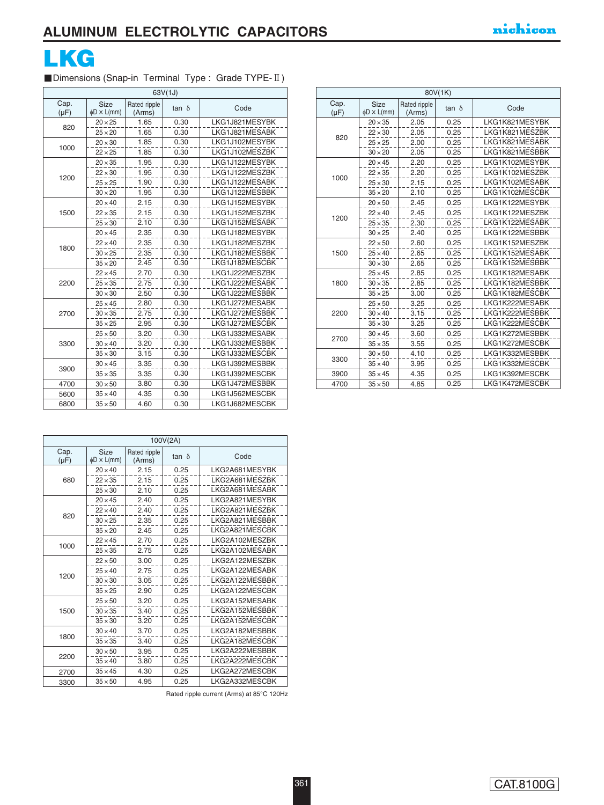

### Dimensions (Snap-in Terminal Type : Grade TYPE-II)

| 63V(1J)           |                          |                        |              |                |  |  |
|-------------------|--------------------------|------------------------|--------------|----------------|--|--|
| Cap.<br>$(\mu F)$ | Size<br>$\phi$ D × L(mm) | Rated ripple<br>(Arms) | $tan \delta$ | Code           |  |  |
|                   | $20 \times 25$           | 1.65                   | 0.30         | LKG1J821MESYBK |  |  |
| 820               | $25 \times 20$           | 1.65                   | 0.30         | LKG1J821MESABK |  |  |
| 1000              | $20 \times 30$           | 1.85                   | 0.30         | LKG1J102MESYBK |  |  |
|                   | $22 \times 25$           | 1.85                   | 0.30         | LKG1J102MESZBK |  |  |
|                   | $20 \times 35$           | 1.95                   | 0.30         | LKG1J122MESYBK |  |  |
| 1200              | $22 \times 30$           | 1.95                   | 0.30         | LKG1J122MESZBK |  |  |
|                   | $25 \times 25$           | 1.90                   | 0.30         | LKG1J122MESABK |  |  |
|                   | $30 \times 20$           | 1.95                   | 0.30         | LKG1J122MESBBK |  |  |
|                   | $20 \times 40$           | 2.15                   | 0.30         | LKG1J152MESYBK |  |  |
| 1500              | $22 \times 35$           | 2.15                   | 0.30         | LKG1J152MESZBK |  |  |
|                   | $25 \times 30$           | 2.10                   | 0.30         | LKG1J152MESABK |  |  |
|                   | $20 \times 45$           | 2.35                   | 0.30         | LKG1J182MESYBK |  |  |
| 1800              | $22 \times 40$           | 2.35                   | 0.30         | LKG1J182MESZBK |  |  |
|                   | $30 \times 25$           | 2.35                   | 0.30         | LKG1J182MESBBK |  |  |
|                   | $35 \times 20$           | 2.45                   | 0.30         | LKG1J182MESCBK |  |  |
|                   | $22 \times 45$           | 2.70                   | 0.30         | LKG1J222MESZBK |  |  |
| 2200              | $25 \times 35$           | 2.75                   | 0.30         | LKG1J222MESABK |  |  |
|                   | $30 \times 30$           | 2.50                   | 0.30         | LKG1J222MESBBK |  |  |
|                   | $25 \times 45$           | 2.80                   | 0.30         | LKG1J272MESABK |  |  |
| 2700              | $30 \times 35$           | 2.75                   | 0.30         | LKG1J272MESBBK |  |  |
|                   | $35 \times 25$           | 2.95                   | 0.30         | LKG1J272MESCBK |  |  |
|                   | $25 \times 50$           | 3.20                   | 0.30         | LKG1J332MESABK |  |  |
| 3300              | $30 \times 40$           | 3.20                   | 0.30         | LKG1J332MESBBK |  |  |
|                   | $35 \times 30$           | 3.15                   | 0.30         | LKG1J332MESCBK |  |  |
| 3900              | $30 \times 45$           | 3.35                   | 0.30         | LKG1J392MESBBK |  |  |
|                   | $35 \times 35$           | 3.35                   | 0.30         | LKG1J392MESCBK |  |  |
| 4700              | $30 \times 50$           | 3.80                   | 0.30         | LKG1J472MESBBK |  |  |
| 5600              | $35 \times 40$           | 4.35                   | 0.30         | LKG1J562MESCBK |  |  |
| 6800              | $35 \times 50$           | 4.60                   | 0.30         | LKG1J682MESCBK |  |  |

|                   | 80V(1K)                         |                        |              |                |  |  |
|-------------------|---------------------------------|------------------------|--------------|----------------|--|--|
| Cap.<br>$(\mu F)$ | <b>Size</b><br>$\phi$ D × L(mm) | Rated ripple<br>(Arms) | $tan \delta$ | Code           |  |  |
|                   | $20 \times 35$                  | 2.05                   | 0.25         | LKG1K821MESYBK |  |  |
| 820               | $22 \times 30$                  | 2.05                   | 0.25         | LKG1K821MESZBK |  |  |
|                   | $25 \times 25$                  | 2.00                   | 0.25         | LKG1K821MESABK |  |  |
|                   | $30 \times 20$                  | 2.05                   | 0.25         | LKG1K821MESBBK |  |  |
|                   | $20 \times 45$                  | 2.20                   | 0.25         | LKG1K102MESYBK |  |  |
|                   | $22 \times 35$                  | 2.20                   | 0.25         | LKG1K102MESZBK |  |  |
| 1000              | $25 \times 30$                  | 2.15                   | 0.25         | LKG1K102MESABK |  |  |
|                   | $35 \times 20$                  | 2.10                   | 0.25         | LKG1K102MESCBK |  |  |
|                   | $20 \times 50$                  | 2.45                   | 0.25         | LKG1K122MESYBK |  |  |
| 1200              | $22 \times 40$                  | 2.45                   | 0.25         | LKG1K122MESZBK |  |  |
|                   | $25 \times 35$                  | 2.30                   | 0.25         | LKG1K122MESABK |  |  |
|                   | $30 \times 25$                  | 2.40                   | 0.25         | LKG1K122MESBBK |  |  |
|                   | $22 \times 50$                  | 2.60                   | 0.25         | LKG1K152MESZBK |  |  |
| 1500              | $25 \times 40$                  | 2.65                   | 0.25         | LKG1K152MESABK |  |  |
|                   | $30 \times 30$                  | 2.65                   | 0.25         | LKG1K152MESBBK |  |  |
|                   | $25 \times 45$                  | 2.85                   | 0.25         | LKG1K182MESABK |  |  |
| 1800              | $30 \times 35$                  | 2.85                   | 0.25         | LKG1K182MESBBK |  |  |
|                   | $35 \times 25$                  | 3.00                   | 0.25         | LKG1K182MESCBK |  |  |
|                   | $25 \times 50$                  | 3.25                   | 0.25         | LKG1K222MESABK |  |  |
| 2200              | $30 \times 40$                  | 3.15                   | 0.25         | LKG1K222MESBBK |  |  |
|                   | $35 \times 30$                  | 3.25                   | 0.25         | LKG1K222MESCBK |  |  |
|                   | $30 \times 45$                  | 3.60                   | 0.25         | LKG1K272MESBBK |  |  |
| 2700              | $35 \times 35$                  | 3.55                   | 0.25         | LKG1K272MESCBK |  |  |
| 3300              | $30 \times 50$                  | 4.10                   | 0.25         | LKG1K332MESBBK |  |  |
|                   | $35 \times 40$                  | 3.95                   | 0.25         | LKG1K332MESCBK |  |  |
| 3900              | $35 \times 45$                  | 4.35                   | 0.25         | LKG1K392MESCBK |  |  |
| 4700              | $35 \times 50$                  | 4.85                   | 0.25         | LKG1K472MESCBK |  |  |

| 100V(2A)          |                          |                        |              |                |  |  |
|-------------------|--------------------------|------------------------|--------------|----------------|--|--|
| Cap.<br>$(\mu F)$ | Size<br>$\phi$ D × L(mm) | Rated ripple<br>(Arms) | $tan \delta$ | Code           |  |  |
|                   | $20 \times 40$           | 2.15                   | 0.25         | LKG2A681MESYBK |  |  |
| 680               | $22 \times 35$           | 2.15                   | 0.25         | LKG2A681MESZBK |  |  |
|                   | $25 \times 30$           | 2.10                   | 0.25         | LKG2A681MESABK |  |  |
|                   | $20 \times 45$           | 2.40                   | 0.25         | LKG2A821MESYBK |  |  |
| 820               | $22 \times 40$           | 2.40                   | 0.25         | LKG2A821MESZBK |  |  |
|                   | $30 \times 25$           | 2.35                   | 0.25         | LKG2A821MESBBK |  |  |
|                   | $35 \times 20$           | 2.45                   | 0.25         | LKG2A821MESCBK |  |  |
| 1000              | $22 \times 45$           | 2.70                   | 0.25         | LKG2A102MESZBK |  |  |
|                   | $25 \times 35$           | 2.75                   | 0.25         | LKG2A102MESABK |  |  |
|                   | $22 \times 50$           | 3.00                   | 0.25         | LKG2A122MESZBK |  |  |
| 1200              | $25 \times 40$           | 2.75                   | 0.25         | LKG2A122MESABK |  |  |
|                   | $30 \times 30$           | 3.05                   | 0.25         | LKG2A122MESBBK |  |  |
|                   | $35 \times 25$           | 2.90                   | 0.25         | LKG2A122MESCBK |  |  |
|                   | $25 \times 50$           | 3.20                   | 0.25         | LKG2A152MESABK |  |  |
| 1500              | $30 \times 35$           | 3.40                   | 0.25         | LKG2A152MESBBK |  |  |
|                   | $35 \times 30$           | 3.20                   | 0.25         | LKG2A152MESCBK |  |  |
|                   | $30 \times 40$           | 3.70                   | 0.25         | LKG2A182MESBBK |  |  |
| 1800              | $35 \times 35$           | 3.40                   | 0.25         | LKG2A182MESCBK |  |  |
|                   | $30 \times 50$           | 3.95                   | 0.25         | LKG2A222MESBBK |  |  |
| 2200              | $35 \times 40$           | 3.80                   | 0.25         | LKG2A222MESCBK |  |  |
| 2700              | $35 \times 45$           | 4.30                   | 0.25         | LKG2A272MESCBK |  |  |
| 3300              | $35 \times 50$           | 4.95                   | 0.25         | LKG2A332MESCBK |  |  |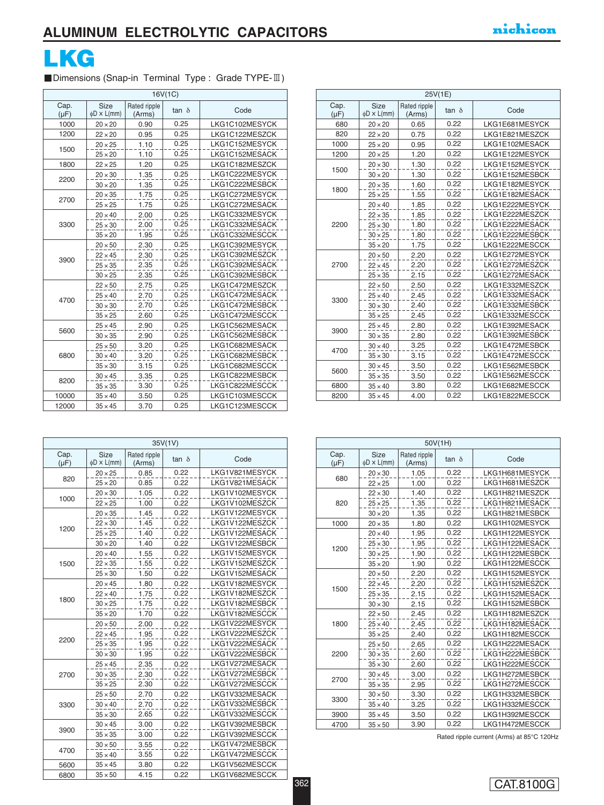

#### ■Dimensions (Snap-in Terminal Type : Grade TYPE-III)

| 16V(1C)           |                                 |                        |              |                |  |
|-------------------|---------------------------------|------------------------|--------------|----------------|--|
| Cap.<br>$(\mu F)$ | <b>Size</b><br>$\phi$ D × L(mm) | Rated ripple<br>(Arms) | $tan \delta$ | Code           |  |
| 1000              | $20 \times 20$                  | 0.90                   | 0.25         | LKG1C102MESYCK |  |
| 1200              | $22 \times 20$                  | 0.95                   | 0.25         | LKG1C122MESZCK |  |
|                   | $20 \times 25$                  | 1.10                   | 0.25         | LKG1C152MESYCK |  |
| 1500              | $25 \times 20$                  | 1.10                   | 0.25         | LKG1C152MESACK |  |
| 1800              | $22 \times 25$                  | 1.20                   | 0.25         | LKG1C182MESZCK |  |
| 2200              | $20 \times 30$                  | 1.35                   | 0.25         | LKG1C222MESYCK |  |
|                   | $30 \times 20$                  | 1.35                   | 0.25         | LKG1C222MESBCK |  |
| 2700              | $20 \times 35$                  | 1.75                   | 0.25         | LKG1C272MESYCK |  |
|                   | $25 \times 25$                  | 1.75                   | 0.25         | LKG1C272MESACK |  |
|                   | $20 \times 40$                  | 2.00                   | 0.25         | LKG1C332MESYCK |  |
| 3300              | $25 \times 30$                  | 2.00                   | 0.25         | LKG1C332MESACK |  |
|                   | $35 \times 20$                  | 1.95                   | 0.25         | LKG1C332MESCCK |  |
|                   | $20 \times 50$                  | 2.30                   | 0.25         | LKG1C392MESYCK |  |
| 3900              | $22 \times 45$                  | 2.30                   | 0.25         | LKG1C392MESZCK |  |
|                   | $25 \times 35$                  | 2.35                   | 0.25         | LKG1C392MESACK |  |
|                   | $30 \times 25$                  | 2.35                   | 0.25         | LKG1C392MESBCK |  |
|                   | $22 \times 50$                  | 2.75                   | 0.25         | LKG1C472MESZCK |  |
| 4700              | $25 \times 40$                  | 2.70                   | 0.25         | LKG1C472MESACK |  |
|                   | $30 \times 30$                  | 2.70                   | 0.25         | LKG1C472MESBCK |  |
|                   | $35 \times 25$                  | 2.60                   | 0.25         | LKG1C472MESCCK |  |
| 5600              | $25 \times 45$                  | 2.90                   | 0.25         | LKG1C562MESACK |  |
|                   | $30 \times 35$                  | 2.90                   | 0.25         | LKG1C562MESBCK |  |
|                   | $25 \times 50$                  | 3.20                   | 0.25         | LKG1C682MESACK |  |
| 6800              | $30 \times 40$                  | 3.20                   | 0.25         | LKG1C682MESBCK |  |
|                   | $35 \times 30$                  | 3.15                   | 0.25         | LKG1C682MESCCK |  |
| 8200              | $30 \times 45$                  | 3.35                   | 0.25         | LKG1C822MESBCK |  |
|                   | $35 \times 35$                  | 3.30                   | 0.25         | LKG1C822MESCCK |  |
| 10000             | $35 \times 40$                  | 3.50                   | 0.25         | LKG1C103MESCCK |  |
| 12000             | $35 \times 45$                  | 3.70                   | 0.25         | LKG1C123MESCCK |  |

| 25V(1E)           |                                 |                        |              |                |  |  |
|-------------------|---------------------------------|------------------------|--------------|----------------|--|--|
| Cap.<br>$(\mu F)$ | <b>Size</b><br>$\phi$ D × L(mm) | Rated ripple<br>(Arms) | $tan \delta$ | Code           |  |  |
| 680               | $20 \times 20$                  | 0.65                   | 0.22         | LKG1E681MESYCK |  |  |
| 820               | $22 \times 20$                  | 0.75                   | 0.22         | LKG1E821MESZCK |  |  |
| 1000              | $25 \times 20$                  | 0.95                   | 0.22         | LKG1E102MESACK |  |  |
| 1200              | $20 \times 25$                  | 1.20                   | 0.22         | LKG1E122MESYCK |  |  |
| 1500              | $20 \times 30$                  | 1.30                   | 0.22         | LKG1E152MESYCK |  |  |
|                   | $30 \times 20$                  | 1.30                   | 0.22         | LKG1E152MESBCK |  |  |
| 1800              | $20 \times 35$                  | 1.60                   | 0.22         | LKG1E182MESYCK |  |  |
|                   | $25 \times 25$                  | 1.55                   | 0.22         | LKG1E182MESACK |  |  |
|                   | $20 \times 40$                  | 1.85                   | 0.22         | LKG1E222MESYCK |  |  |
|                   | $22 \times 35$                  | 1.85                   | 0.22         | LKG1E222MESZCK |  |  |
| 2200              | $25 \times 30$                  | 1.80                   | 0.22         | LKG1E222MESACK |  |  |
|                   | $30 \times 25$                  | 1.80                   | 0.22         | LKG1E222MESBCK |  |  |
|                   | $35 \times 20$                  | 1.75                   | 0.22         | LKG1E222MESCCK |  |  |
|                   | $20 \times 50$                  | 2.20                   | 0.22         | LKG1E272MESYCK |  |  |
| 2700              | $22 \times 45$                  | 2.20                   | 0.22         | LKG1E272MESZCK |  |  |
|                   | $25 \times 35$                  | 2.15                   | 0.22         | LKG1E272MESACK |  |  |
|                   | $22 \times 50$                  | 2.50                   | 0.22         | LKG1E332MESZCK |  |  |
| 3300              | $25 \times 40$                  | 2.45                   | 0.22         | LKG1E332MESACK |  |  |
|                   | $30 \times 30$                  | 2.40                   | 0.22         | LKG1E332MESBCK |  |  |
|                   | $35 \times 25$                  | 2.45                   | 0.22         | LKG1E332MESCCK |  |  |
|                   | $25 \times 45$                  | 2.80                   | 0.22         | LKG1E392MESACK |  |  |
| 3900              | $30 \times 35$                  | 2.80                   | 0.22         | LKG1E392MESBCK |  |  |
| 4700              | $30 \times 40$                  | 3.25                   | 0.22         | LKG1E472MESBCK |  |  |
|                   | $35 \times 30$                  | 3.15                   | 0.22         | LKG1E472MESCCK |  |  |
| 5600              | $30 \times 45$                  | 3.50                   | 0.22         | LKG1E562MESBCK |  |  |
|                   | $35 \times 35$                  | 3.50                   | 0.22         | LKG1E562MESCCK |  |  |
| 6800              | $35 \times 40$                  | 3.80                   | 0.22         | LKG1E682MESCCK |  |  |
| 8200              | $35 \times 45$                  | 4.00                   | 0.22         | LKG1E822MESCCK |  |  |

| 35V(1V)           |                                 |                        |       |                |  |
|-------------------|---------------------------------|------------------------|-------|----------------|--|
| Cap.<br>$(\mu F)$ | <b>Size</b><br>$\phi$ D × L(mm) | Rated ripple<br>(Arms) | tan δ | Code           |  |
|                   | $20 \times 25$                  | 0.85                   | 0.22  | LKG1V821MESYCK |  |
| 820               | $25 \times 20$                  | 0.85                   | 0.22  | LKG1V821MESACK |  |
|                   | $20 \times 30$                  | 1.05                   | 0.22  | LKG1V102MESYCK |  |
| 1000              | $22 \times 25$                  | 1.00                   | 0.22  | LKG1V102MESZCK |  |
|                   | $20 \times 35$                  | 1.45                   | 0.22  | LKG1V122MESYCK |  |
|                   | $22 \times 30$                  | 1.45                   | 0.22  | LKG1V122MESZCK |  |
| 1200              | $25 \times 25$                  | 1.40                   | 0.22  | LKG1V122MESACK |  |
|                   | $30 \times 20$                  | 1.40                   | 0.22  | LKG1V122MESBCK |  |
|                   | $20 \times 40$                  | 1.55                   | 0.22  | LKG1V152MESYCK |  |
| 1500              | $22 \times 35$                  | 1.55                   | 0.22  | LKG1V152MESZCK |  |
|                   | $25 \times 30$                  | 1.50                   | 0.22  | LKG1V152MESACK |  |
|                   | $20 \times 45$                  | 1.80                   | 0.22  | LKG1V182MESYCK |  |
|                   | $22 \times 40$                  | 1.75                   | 0.22  | LKG1V182MESZCK |  |
| 1800              | $30 \times 25$                  | 1.75                   | 0.22  | LKG1V182MESBCK |  |
|                   | $35 \times 20$                  | 1.70                   | 0.22  | LKG1V182MESCCK |  |
|                   | $20 \times 50$                  | 2.00                   | 0.22  | LKG1V222MESYCK |  |
|                   | $22 \times 45$                  | 1.95                   | 0.22  | LKG1V222MESZCK |  |
| 2200              | $25 \times 35$                  | 1.95                   | 0.22  | LKG1V222MESACK |  |
|                   | $30 \times 30$                  | 1.95                   | 0.22  | LKG1V222MESBCK |  |
|                   | $25 \times 45$                  | 2.35                   | 0.22  | LKG1V272MESACK |  |
| 2700              | $30 \times 35$                  | 2.30                   | 0.22  | LKG1V272MESBCK |  |
|                   | $35 \times 25$                  | 2.30                   | 0.22  | LKG1V272MESCCK |  |
|                   | $25 \times 50$                  | 2.70                   | 0.22  | LKG1V332MESACK |  |
| 3300              | $30 \times 40$                  | 2.70                   | 0.22  | LKG1V332MESBCK |  |
|                   | $35 \times 30$                  | 2.65                   | 0.22  | LKG1V332MESCCK |  |
|                   | $30 \times 45$                  | 3.00                   | 0.22  | LKG1V392MESBCK |  |
| 3900              | $35 \times 35$                  | 3.00                   | 0.22  | LKG1V392MESCCK |  |
|                   | $30 \times 50$                  | 3.55                   | 0.22  | LKG1V472MESBCK |  |
| 4700              | $35 \times 40$                  | 3.55                   | 0.22  | LKG1V472MESCCK |  |
| 5600              | $35 \times 45$                  | 3.80                   | 0.22  | LKG1V562MESCCK |  |
| 6800              | $35 \times 50$                  | 4.15                   | 0.22  | LKG1V682MESCCK |  |

| 50V(1H)           |                          |                        |              |                |  |  |
|-------------------|--------------------------|------------------------|--------------|----------------|--|--|
| Cap.<br>$(\mu F)$ | Size<br>$\phi$ D × L(mm) | Rated ripple<br>(Arms) | $tan \delta$ | Code           |  |  |
| 680               | $20 \times 30$           | 1.05                   | 0.22         | LKG1H681MESYCK |  |  |
|                   | $22 \times 25$           | 1.00                   | 0.22         | LKG1H681MESZCK |  |  |
|                   | $22 \times 30$           | 1.40                   | 0.22         | LKG1H821MESZCK |  |  |
| 820               | $25 \times 25$           | 1.35                   | 0.22         | LKG1H821MESACK |  |  |
|                   | $30 \times 20$           | 1.35                   | 0.22         | LKG1H821MESBCK |  |  |
| 1000              | $20 \times 35$           | 1.80                   | 0.22         | LKG1H102MESYCK |  |  |
|                   | $20 \times 40$           | 1.95                   | 0.22         | LKG1H122MESYCK |  |  |
| 1200              | $25 \times 30$           | 1.95                   | 0.22         | LKG1H122MESACK |  |  |
|                   | $30 \times 25$           | 1.90                   | 0.22         | LKG1H122MESBCK |  |  |
|                   | $35 \times 20$           | 1.90                   | 0.22         | LKG1H122MESCCK |  |  |
|                   | $20 \times 50$           | 2.20                   | 0.22         | LKG1H152MESYCK |  |  |
| 1500              | $22 \times 45$           | 2.20                   | 0.22         | LKG1H152MESZCK |  |  |
|                   | $25 \times 35$           | 2.15                   | 0.22         | LKG1H152MESACK |  |  |
|                   | $30 \times 30$           | 2.15                   | 0.22         | LKG1H152MESBCK |  |  |
|                   | $22 \times 50$           | 2.45                   | 0.22         | LKG1H182MESZCK |  |  |
| 1800              | $25 \times 40$           | 2.45                   | 0.22         | LKG1H182MESACK |  |  |
|                   | $35 \times 25$           | 2.40                   | 0.22         | LKG1H182MESCCK |  |  |
|                   | $25 \times 50$           | 2.65                   | 0.22         | LKG1H222MESACK |  |  |
| 2200              | $30 \times 35$           | 2.60                   | 0.22         | LKG1H222MESBCK |  |  |
|                   | $35 \times 30$           | 2.60                   | 0.22         | LKG1H222MESCCK |  |  |
| 2700              | $30 \times 45$           | 3.00                   | 0.22         | LKG1H272MESBCK |  |  |
|                   | $35 \times 35$           | 2.95                   | 0.22         | LKG1H272MESCCK |  |  |
| 3300              | $30 \times 50$           | 3.30                   | 0.22         | LKG1H332MESBCK |  |  |
|                   | $35 \times 40$           | 3.25                   | 0.22         | LKG1H332MESCCK |  |  |
| 3900              | $35 \times 45$           | 3.50                   | 0.22         | LKG1H392MESCCK |  |  |
| 4700              | $35 \times 50$           | 3.90                   | 0.22         | LKG1H472MESCCK |  |  |

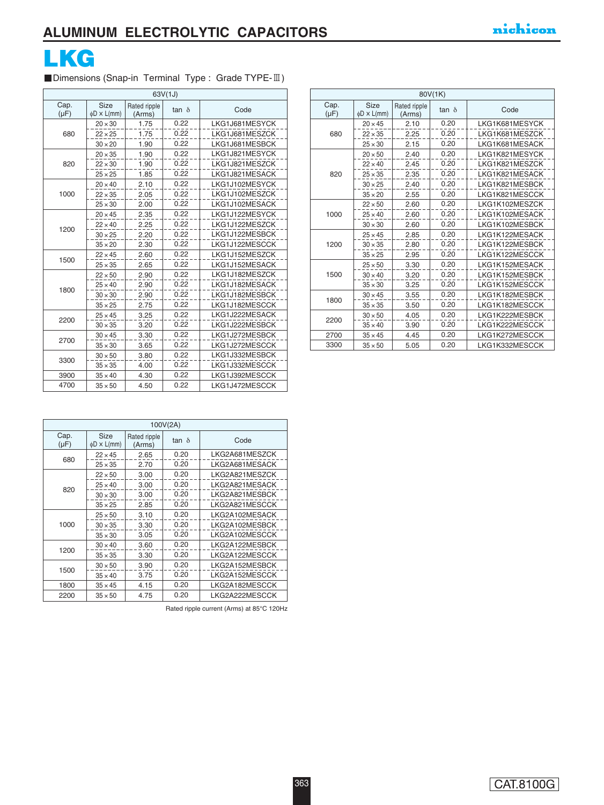

### ■Dimensions (Snap-in Terminal Type : Grade TYPE-II)

| 63V(1J)           |                          |                        |              |                |  |  |
|-------------------|--------------------------|------------------------|--------------|----------------|--|--|
| Cap.<br>$(\mu F)$ | Size<br>$\phi$ D × L(mm) | Rated ripple<br>(Arms) | tan $\delta$ | Code           |  |  |
|                   | $20 \times 30$           | 1.75                   | 0.22         | LKG1J681MESYCK |  |  |
| 680               | $22 \times 25$           | 1.75                   | 0.22         | LKG1J681MESZCK |  |  |
|                   | $30 \times 20$           | 1.90                   | 0.22         | LKG1J681MESBCK |  |  |
|                   | $20 \times 35$           | 1.90                   | 0.22         | LKG1J821MESYCK |  |  |
| 820               | $22 \times 30$           | 1.90                   | 0.22         | LKG1J821MESZCK |  |  |
|                   | $25 \times 25$           | 1.85                   | 0.22         | LKG1J821MESACK |  |  |
|                   | $20 \times 40$           | 2.10                   | 0.22         | LKG1J102MESYCK |  |  |
| 1000              | $22 \times 35$           | 2.05                   | 0.22         | LKG1J102MESZCK |  |  |
|                   | $25 \times 30$           | 2.00                   | 0.22         | LKG1J102MESACK |  |  |
|                   | $20 \times 45$           | 2.35                   | 0.22         | LKG1J122MESYCK |  |  |
| 1200              | $22 \times 40$           | 2.25                   | 0.22         | LKG1J122MESZCK |  |  |
|                   | $30 \times 25$           | 2.20                   | 0.22         | LKG1J122MESBCK |  |  |
|                   | $35 \times 20$           | 2.30                   | 0.22         | LKG1J122MESCCK |  |  |
| 1500              | $22 \times 45$           | 2.60                   | 0.22         | LKG1J152MESZCK |  |  |
|                   | $25 \times 35$           | 2.65                   | 0.22         | LKG1J152MESACK |  |  |
|                   | $22 \times 50$           | 2.90                   | 0.22         | LKG1J182MESZCK |  |  |
| 1800              | $25 \times 40$           | 2.90                   | 0.22         | LKG1J182MESACK |  |  |
|                   | $30 \times 30$           | 2.90                   | 0.22         | LKG1J182MESBCK |  |  |
|                   | $35 \times 25$           | 2.75                   | 0.22         | LKG1J182MESCCK |  |  |
| 2200              | $25 \times 45$           | 3.25                   | 0.22         | LKG1J222MESACK |  |  |
|                   | $30 \times 35$           | 3.20                   | 0.22         | LKG1J222MESBCK |  |  |
| 2700              | $30 \times 45$           | 3.30                   | 0.22         | LKG1J272MESBCK |  |  |
|                   | $35 \times 30$           | 3.65                   | 0.22         | LKG1J272MESCCK |  |  |
| 3300              | $30 \times 50$           | 3.80                   | 0.22         | LKG1J332MESBCK |  |  |
|                   | $35 \times 35$           | 4.00                   | 0.22         | LKG1J332MESCCK |  |  |
| 3900              | $35 \times 40$           | 4.30                   | 0.22         | LKG1J392MESCCK |  |  |
| 4700              | $35 \times 50$           | 4.50                   | 0.22         | LKG1J472MESCCK |  |  |

| 80V(1K)           |                          |                        |              |                |  |  |
|-------------------|--------------------------|------------------------|--------------|----------------|--|--|
| Cap.<br>$(\mu F)$ | Size<br>$\phi$ D × L(mm) | Rated ripple<br>(Arms) | tan $\delta$ | Code           |  |  |
|                   | $20 \times 45$           | 2.10                   | 0.20         | LKG1K681MESYCK |  |  |
| 680               | $22 \times 35$           | 2.25                   | 0.20         | LKG1K681MESZCK |  |  |
|                   | $25 \times 30$           | 2.15                   | 0.20         | LKG1K681MESACK |  |  |
|                   | $20 \times 50$           | 2.40                   | 0.20         | LKG1K821MESYCK |  |  |
|                   | $22 \times 40$           | 2.45                   | 0.20         | LKG1K821MESZCK |  |  |
| 820               | $25 \times 35$           | 2.35                   | 0.20         | LKG1K821MESACK |  |  |
|                   | $30 \times 25$           | 2.40                   | 0.20         | LKG1K821MESBCK |  |  |
|                   | $35 \times 20$           | 2.55                   | 0.20         | LKG1K821MESCCK |  |  |
|                   | $22 \times 50$           | 2.60                   | 0.20         | LKG1K102MESZCK |  |  |
| 1000              | $25 \times 40$           | 2.60                   | 0.20         | LKG1K102MESACK |  |  |
|                   | $30 \times 30$           | 2.60                   | 0.20         | LKG1K102MESBCK |  |  |
|                   | $25 \times 45$           | 2.85                   | 0.20         | LKG1K122MESACK |  |  |
| 1200              | $30 \times 35$           | 2.80                   | 0.20         | LKG1K122MESBCK |  |  |
|                   | $35 \times 25$           | 2.95                   | 0.20         | LKG1K122MESCCK |  |  |
|                   | $25 \times 50$           | 3.30                   | 0.20         | LKG1K152MESACK |  |  |
| 1500              | $30 \times 40$           | 3.20                   | 0.20         | LKG1K152MESBCK |  |  |
|                   | $35 \times 30$           | 3.25                   | 0.20         | LKG1K152MESCCK |  |  |
| 1800              | $30 \times 45$           | 3.55                   | 0.20         | LKG1K182MESBCK |  |  |
|                   | $35 \times 35$           | 3.50                   | 0.20         | LKG1K182MESCCK |  |  |
| 2200              | $30 \times 50$           | 4.05                   | 0.20         | LKG1K222MESBCK |  |  |
|                   | $35 \times 40$           | 3.90                   | 0.20         | LKG1K222MESCCK |  |  |
| 2700              | $35 \times 45$           | 4.45                   | 0.20         | LKG1K272MESCCK |  |  |
| 3300              | $35 \times 50$           | 5.05                   | 0.20         | LKG1K332MESCCK |  |  |

| 100V(2A)          |                                 |                        |              |                |  |  |
|-------------------|---------------------------------|------------------------|--------------|----------------|--|--|
| Cap.<br>$(\mu F)$ | <b>Size</b><br>$\phi$ D × L(mm) | Rated ripple<br>(Arms) | tan $\delta$ | Code           |  |  |
| 680               | $22 \times 45$                  | 2.65                   | 0.20         | LKG2A681MESZCK |  |  |
|                   | $25 \times 35$                  | 2.70                   | 0.20         | LKG2A681MESACK |  |  |
|                   | $22 \times 50$                  | 3.00                   | 0.20         | LKG2A821MESZCK |  |  |
| 820               | $25 \times 40$                  | 3.00                   | 0.20         | LKG2A821MESACK |  |  |
|                   | $30 \times 30$                  | 3.00                   | 0.20         | LKG2A821MESBCK |  |  |
|                   | $35 \times 25$                  | 2.85                   | 0.20         | LKG2A821MESCCK |  |  |
|                   | $25 \times 50$                  | 3.10                   | 0.20         | LKG2A102MESACK |  |  |
| 1000              | $30 \times 35$                  | 3.30                   | 0.20         | LKG2A102MESBCK |  |  |
|                   | $35 \times 30$                  | 3.05                   | 0.20         | LKG2A102MESCCK |  |  |
| 1200              | $30 \times 40$                  | 3.60                   | 0.20         | LKG2A122MESBCK |  |  |
|                   | $35 \times 35$                  | 3.30                   | 0.20         | LKG2A122MESCCK |  |  |
| 1500              | $30 \times 50$                  | 3.90                   | 0.20         | LKG2A152MESBCK |  |  |
|                   | $35 \times 40$                  | 3.75                   | 0.20         | LKG2A152MESCCK |  |  |
| 1800              | $35 \times 45$                  | 4.15                   | 0.20         | LKG2A182MESCCK |  |  |
| 2200              | $35 \times 50$                  | 4.75                   | 0.20         | LKG2A222MESCCK |  |  |